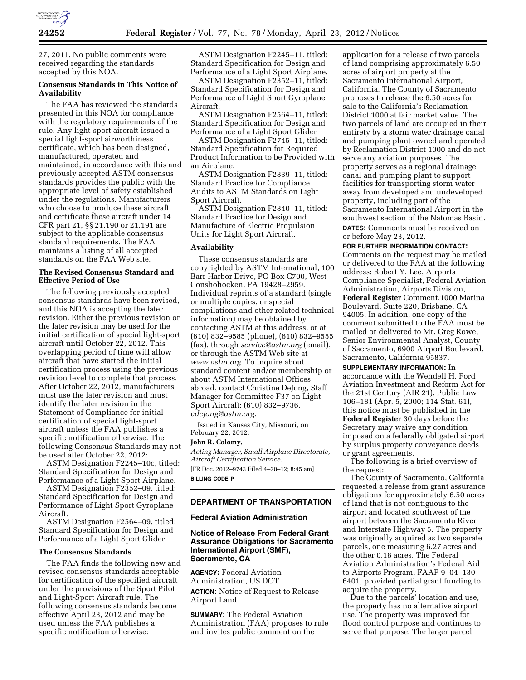

27, 2011. No public comments were received regarding the standards accepted by this NOA.

# **Consensus Standards in This Notice of Availability**

The FAA has reviewed the standards presented in this NOA for compliance with the regulatory requirements of the rule. Any light-sport aircraft issued a special light-sport airworthiness certificate, which has been designed, manufactured, operated and maintained, in accordance with this and previously accepted ASTM consensus standards provides the public with the appropriate level of safety established under the regulations. Manufacturers who choose to produce these aircraft and certificate these aircraft under 14 CFR part 21, §§ 21.190 or 21.191 are subject to the applicable consensus standard requirements. The FAA maintains a listing of all accepted standards on the FAA Web site.

# **The Revised Consensus Standard and Effective Period of Use**

The following previously accepted consensus standards have been revised, and this NOA is accepting the later revision. Either the previous revision or the later revision may be used for the initial certification of special light-sport aircraft until October 22, 2012. This overlapping period of time will allow aircraft that have started the initial certification process using the previous revision level to complete that process. After October 22, 2012, manufacturers must use the later revision and must identify the later revision in the Statement of Compliance for initial certification of special light-sport aircraft unless the FAA publishes a specific notification otherwise. The following Consensus Standards may not be used after October 22, 2012:

ASTM Designation F2245–10c, titled: Standard Specification for Design and Performance of a Light Sport Airplane.

ASTM Designation F2352–09, titled: Standard Specification for Design and Performance of Light Sport Gyroplane Aircraft.

ASTM Designation F2564–09, titled: Standard Specification for Design and Performance of a Light Sport Glider

## **The Consensus Standards**

The FAA finds the following new and revised consensus standards acceptable for certification of the specified aircraft under the provisions of the Sport Pilot and Light-Sport Aircraft rule. The following consensus standards become effective April 23, 2012 and may be used unless the FAA publishes a specific notification otherwise:

ASTM Designation F2245–11, titled: Standard Specification for Design and Performance of a Light Sport Airplane.

ASTM Designation F2352–11, titled: Standard Specification for Design and Performance of Light Sport Gyroplane Aircraft.

ASTM Designation F2564–11, titled: Standard Specification for Design and Performance of a Light Sport Glider

ASTM Designation F2745–11, titled: Standard Specification for Required Product Information to be Provided with an Airplane.

ASTM Designation F2839–11, titled: Standard Practice for Compliance Audits to ASTM Standards on Light Sport Aircraft.

ASTM Designation F2840–11, titled: Standard Practice for Design and Manufacture of Electric Propulsion Units for Light Sport Aircraft.

## **Availability**

These consensus standards are copyrighted by ASTM International, 100 Barr Harbor Drive, PO Box C700, West Conshohocken, PA 19428–2959. Individual reprints of a standard (single or multiple copies, or special compilations and other related technical information) may be obtained by contacting ASTM at this address, or at (610) 832–9585 (phone), (610) 832–9555 (fax), through *[service@astm.org](mailto:service@astm.org)* (email), or through the ASTM Web site at *[www.astm.org.](http://www.astm.org)* To inquire about standard content and/or membership or about ASTM International Offices abroad, contact Christine DeJong, Staff Manager for Committee F37 on Light Sport Aircraft: (610) 832–9736, *[cdejong@astm.org.](mailto:cdejong@astm.org)* 

Issued in Kansas City, Missouri, on February 22, 2012.

## **John R. Colomy,**

*Acting Manager, Small Airplane Directorate, Aircraft Certification Service.* 

[FR Doc. 2012–9743 Filed 4–20–12; 8:45 am] **BILLING CODE P** 

## **DEPARTMENT OF TRANSPORTATION**

#### **Federal Aviation Administration**

# **Notice of Release From Federal Grant Assurance Obligations for Sacramento International Airport (SMF), Sacramento, CA**

**AGENCY:** Federal Aviation Administration, US DOT. **ACTION:** Notice of Request to Release Airport Land.

**SUMMARY:** The Federal Aviation Administration (FAA) proposes to rule and invites public comment on the

application for a release of two parcels of land comprising approximately 6.50 acres of airport property at the Sacramento International Airport, California. The County of Sacramento proposes to release the 6.50 acres for sale to the California's Reclamation District 1000 at fair market value. The two parcels of land are occupied in their entirety by a storm water drainage canal and pumping plant owned and operated by Reclamation District 1000 and do not serve any aviation purposes. The property serves as a regional drainage canal and pumping plant to support facilities for transporting storm water away from developed and undeveloped property, including part of the Sacramento International Airport in the southwest section of the Natomas Basin. **DATES:** Comments must be received on or before May 23, 2012.

**FOR FURTHER INFORMATION CONTACT:** 

Comments on the request may be mailed or delivered to the FAA at the following address: Robert Y. Lee, Airports Compliance Specialist, Federal Aviation Administration, Airports Division, **Federal Register** Comment,1000 Marina Boulevard, Suite 220, Brisbane, CA 94005. In addition, one copy of the comment submitted to the FAA must be mailed or delivered to Mr. Greg Rowe, Senior Environmental Analyst, County of Sacramento, 6900 Airport Boulevard, Sacramento, California 95837.

**SUPPLEMENTARY INFORMATION:** In accordance with the Wendell H. Ford Aviation Investment and Reform Act for the 21st Century (AIR 21), Public Law 106–181 (Apr. 5, 2000; 114 Stat. 61), this notice must be published in the **Federal Register** 30 days before the Secretary may waive any condition imposed on a federally obligated airport by surplus property conveyance deeds or grant agreements.

The following is a brief overview of the request:

The County of Sacramento, California requested a release from grant assurance obligations for approximately 6.50 acres of land that is not contiguous to the airport and located southwest of the airport between the Sacramento River and Interstate Highway 5. The property was originally acquired as two separate parcels, one measuring 6.27 acres and the other 0.18 acres. The Federal Aviation Administration's Federal Aid to Airports Program, FAAP 9–04–130– 6401, provided partial grant funding to acquire the property.

Due to the parcels' location and use, the property has no alternative airport use. The property was improved for flood control purpose and continues to serve that purpose. The larger parcel